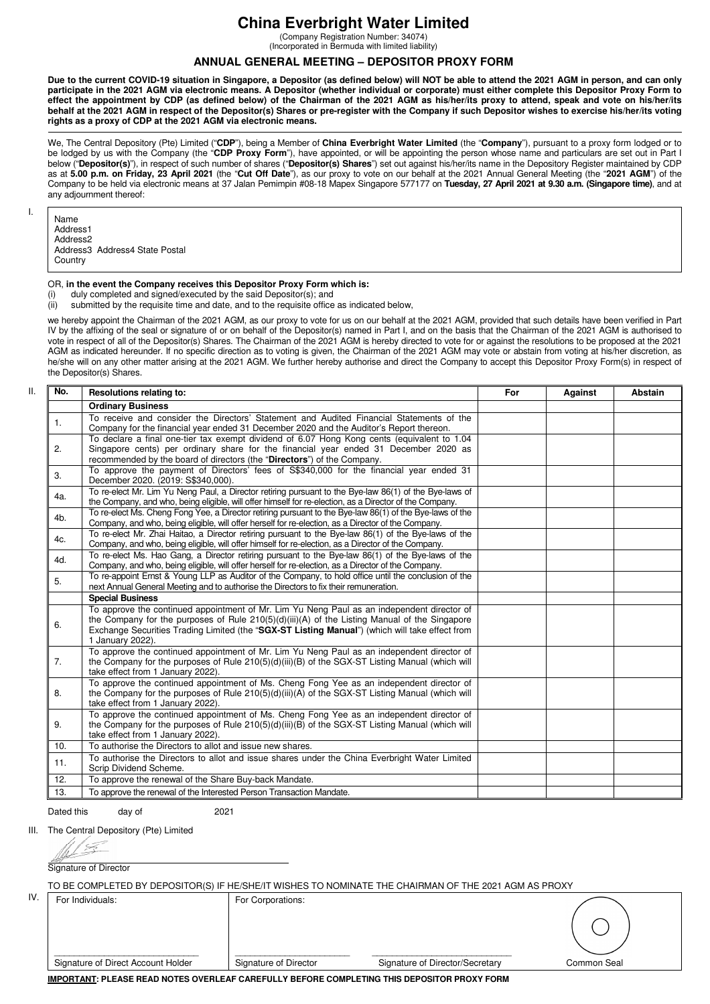## **China Everbright Water Limited**

(Company Registration Number: 34074) (Incorporated in Bermuda with limited liability)

### **ANNUAL GENERAL MEETING – DEPOSITOR PROXY FORM**

**Due to the current COVID-19 situation in Singapore, a Depositor (as defined below) will NOT be able to attend the 2021 AGM in person, and can only participate in the 2021 AGM via electronic means. A Depositor (whether individual or corporate) must either complete this Depositor Proxy Form to effect the appointment by CDP (as defined below) of the Chairman of the 2021 AGM as his/her/its proxy to attend, speak and vote on his/her/its behalf at the 2021 AGM in respect of the Depositor(s) Shares or pre-register with the Company if such Depositor wishes to exercise his/her/its voting rights as a proxy of CDP at the 2021 AGM via electronic means.**

We, The Central Depository (Pte) Limited ("**CDP**"), being a Member of **China Everbright Water Limited** (the "**Company**"), pursuant to a proxy form lodged or to be lodged by us with the Company (the "**CDP Proxy Form**"), have appointed, or will be appointing the person whose name and particulars are set out in Part I below ("**Depositor(s)**"), in respect of such number of shares ("**Depositor(s) Shares**") set out against his/her/its name in the Depository Register maintained by CDP as at **5.00 p.m. on Friday, 23 April 2021** (the "**Cut Off Date**"), as our proxy to vote on our behalf at the 2021 Annual General Meeting (the "**2021 AGM**") of the Company to be held via electronic means at 37 Jalan Pemimpin #08-18 Mapex Singapore 577177 on **Tuesday, 27 April 2021 at 9.30 a.m. (Singapore time)**, and at any adjournment thereof:

I.

Name

Address1 Address2 Address3 Address4 State Postal **Country** 

# OR, **in the event the Company receives this Depositor Proxy Form which is:**<br>(i) duly completed and signed/executed by the said Depositor(s): and

(i) duly completed and signed/executed by the said Depositor(s); and (ii) submitted by the requisite time and date, and to the requisite office

submitted by the requisite time and date, and to the requisite office as indicated below,

we hereby appoint the Chairman of the 2021 AGM, as our proxy to vote for us on our behalf at the 2021 AGM, provided that such details have been verified in Part IV by the affixing of the seal or signature of or on behalf of the Depositor(s) named in Part I, and on the basis that the Chairman of the 2021 AGM is authorised to vote in respect of all of the Depositor(s) Shares. The Chairman of the 2021 AGM is hereby directed to vote for or against the resolutions to be proposed at the 2021 AGM as indicated hereunder. If no specific direction as to voting is given, the Chairman of the 2021 AGM may vote or abstain from voting at his/her discretion, as he/she will on any other matter arising at the 2021 AGM. We further hereby authorise and direct the Company to accept this Depositor Proxy Form(s) in respect of the Depositor(s) Shares.

| No.                                                                                                                                                                                                                                                                                                                                                                                                                                                                                                                                                                                                                                                                                                                                                                                                                                                                                                                                                                                                                                                                                                                                                                                                                                                                                                                                                                                                                                                                                                                                                                                                                                                                                                                                                                                                                                                                                                                                                                                                                                                                                                                                                                 | Resolutions relating to:                                                                                | For | Against | <b>Abstain</b> |
|---------------------------------------------------------------------------------------------------------------------------------------------------------------------------------------------------------------------------------------------------------------------------------------------------------------------------------------------------------------------------------------------------------------------------------------------------------------------------------------------------------------------------------------------------------------------------------------------------------------------------------------------------------------------------------------------------------------------------------------------------------------------------------------------------------------------------------------------------------------------------------------------------------------------------------------------------------------------------------------------------------------------------------------------------------------------------------------------------------------------------------------------------------------------------------------------------------------------------------------------------------------------------------------------------------------------------------------------------------------------------------------------------------------------------------------------------------------------------------------------------------------------------------------------------------------------------------------------------------------------------------------------------------------------------------------------------------------------------------------------------------------------------------------------------------------------------------------------------------------------------------------------------------------------------------------------------------------------------------------------------------------------------------------------------------------------------------------------------------------------------------------------------------------------|---------------------------------------------------------------------------------------------------------|-----|---------|----------------|
|                                                                                                                                                                                                                                                                                                                                                                                                                                                                                                                                                                                                                                                                                                                                                                                                                                                                                                                                                                                                                                                                                                                                                                                                                                                                                                                                                                                                                                                                                                                                                                                                                                                                                                                                                                                                                                                                                                                                                                                                                                                                                                                                                                     | <b>Ordinary Business</b>                                                                                |     |         |                |
| 1.                                                                                                                                                                                                                                                                                                                                                                                                                                                                                                                                                                                                                                                                                                                                                                                                                                                                                                                                                                                                                                                                                                                                                                                                                                                                                                                                                                                                                                                                                                                                                                                                                                                                                                                                                                                                                                                                                                                                                                                                                                                                                                                                                                  | To receive and consider the Directors' Statement and Audited Financial Statements of the                |     |         |                |
|                                                                                                                                                                                                                                                                                                                                                                                                                                                                                                                                                                                                                                                                                                                                                                                                                                                                                                                                                                                                                                                                                                                                                                                                                                                                                                                                                                                                                                                                                                                                                                                                                                                                                                                                                                                                                                                                                                                                                                                                                                                                                                                                                                     | Company for the financial year ended 31 December 2020 and the Auditor's Report thereon.                 |     |         |                |
|                                                                                                                                                                                                                                                                                                                                                                                                                                                                                                                                                                                                                                                                                                                                                                                                                                                                                                                                                                                                                                                                                                                                                                                                                                                                                                                                                                                                                                                                                                                                                                                                                                                                                                                                                                                                                                                                                                                                                                                                                                                                                                                                                                     | To declare a final one-tier tax exempt dividend of 6.07 Hong Kong cents (equivalent to 1.04             |     |         |                |
|                                                                                                                                                                                                                                                                                                                                                                                                                                                                                                                                                                                                                                                                                                                                                                                                                                                                                                                                                                                                                                                                                                                                                                                                                                                                                                                                                                                                                                                                                                                                                                                                                                                                                                                                                                                                                                                                                                                                                                                                                                                                                                                                                                     |                                                                                                         |     |         |                |
|                                                                                                                                                                                                                                                                                                                                                                                                                                                                                                                                                                                                                                                                                                                                                                                                                                                                                                                                                                                                                                                                                                                                                                                                                                                                                                                                                                                                                                                                                                                                                                                                                                                                                                                                                                                                                                                                                                                                                                                                                                                                                                                                                                     |                                                                                                         |     |         |                |
|                                                                                                                                                                                                                                                                                                                                                                                                                                                                                                                                                                                                                                                                                                                                                                                                                                                                                                                                                                                                                                                                                                                                                                                                                                                                                                                                                                                                                                                                                                                                                                                                                                                                                                                                                                                                                                                                                                                                                                                                                                                                                                                                                                     | December 2020. (2019: S\$340,000).                                                                      |     |         |                |
|                                                                                                                                                                                                                                                                                                                                                                                                                                                                                                                                                                                                                                                                                                                                                                                                                                                                                                                                                                                                                                                                                                                                                                                                                                                                                                                                                                                                                                                                                                                                                                                                                                                                                                                                                                                                                                                                                                                                                                                                                                                                                                                                                                     | To re-elect Mr. Lim Yu Neng Paul, a Director retiring pursuant to the Bye-law 86(1) of the Bye-laws of  |     |         |                |
|                                                                                                                                                                                                                                                                                                                                                                                                                                                                                                                                                                                                                                                                                                                                                                                                                                                                                                                                                                                                                                                                                                                                                                                                                                                                                                                                                                                                                                                                                                                                                                                                                                                                                                                                                                                                                                                                                                                                                                                                                                                                                                                                                                     | the Company, and who, being eligible, will offer himself for re-election, as a Director of the Company. |     |         |                |
|                                                                                                                                                                                                                                                                                                                                                                                                                                                                                                                                                                                                                                                                                                                                                                                                                                                                                                                                                                                                                                                                                                                                                                                                                                                                                                                                                                                                                                                                                                                                                                                                                                                                                                                                                                                                                                                                                                                                                                                                                                                                                                                                                                     |                                                                                                         |     |         |                |
|                                                                                                                                                                                                                                                                                                                                                                                                                                                                                                                                                                                                                                                                                                                                                                                                                                                                                                                                                                                                                                                                                                                                                                                                                                                                                                                                                                                                                                                                                                                                                                                                                                                                                                                                                                                                                                                                                                                                                                                                                                                                                                                                                                     |                                                                                                         |     |         |                |
| 4c.                                                                                                                                                                                                                                                                                                                                                                                                                                                                                                                                                                                                                                                                                                                                                                                                                                                                                                                                                                                                                                                                                                                                                                                                                                                                                                                                                                                                                                                                                                                                                                                                                                                                                                                                                                                                                                                                                                                                                                                                                                                                                                                                                                 |                                                                                                         |     |         |                |
|                                                                                                                                                                                                                                                                                                                                                                                                                                                                                                                                                                                                                                                                                                                                                                                                                                                                                                                                                                                                                                                                                                                                                                                                                                                                                                                                                                                                                                                                                                                                                                                                                                                                                                                                                                                                                                                                                                                                                                                                                                                                                                                                                                     |                                                                                                         |     |         |                |
|                                                                                                                                                                                                                                                                                                                                                                                                                                                                                                                                                                                                                                                                                                                                                                                                                                                                                                                                                                                                                                                                                                                                                                                                                                                                                                                                                                                                                                                                                                                                                                                                                                                                                                                                                                                                                                                                                                                                                                                                                                                                                                                                                                     |                                                                                                         |     |         |                |
|                                                                                                                                                                                                                                                                                                                                                                                                                                                                                                                                                                                                                                                                                                                                                                                                                                                                                                                                                                                                                                                                                                                                                                                                                                                                                                                                                                                                                                                                                                                                                                                                                                                                                                                                                                                                                                                                                                                                                                                                                                                                                                                                                                     | To re-appoint Ernst & Young LLP as Auditor of the Company, to hold office until the conclusion of the   |     |         |                |
|                                                                                                                                                                                                                                                                                                                                                                                                                                                                                                                                                                                                                                                                                                                                                                                                                                                                                                                                                                                                                                                                                                                                                                                                                                                                                                                                                                                                                                                                                                                                                                                                                                                                                                                                                                                                                                                                                                                                                                                                                                                                                                                                                                     | next Annual General Meeting and to authorise the Directors to fix their remuneration.                   |     |         |                |
|                                                                                                                                                                                                                                                                                                                                                                                                                                                                                                                                                                                                                                                                                                                                                                                                                                                                                                                                                                                                                                                                                                                                                                                                                                                                                                                                                                                                                                                                                                                                                                                                                                                                                                                                                                                                                                                                                                                                                                                                                                                                                                                                                                     | <b>Special Business</b>                                                                                 |     |         |                |
|                                                                                                                                                                                                                                                                                                                                                                                                                                                                                                                                                                                                                                                                                                                                                                                                                                                                                                                                                                                                                                                                                                                                                                                                                                                                                                                                                                                                                                                                                                                                                                                                                                                                                                                                                                                                                                                                                                                                                                                                                                                                                                                                                                     |                                                                                                         |     |         |                |
| 6.                                                                                                                                                                                                                                                                                                                                                                                                                                                                                                                                                                                                                                                                                                                                                                                                                                                                                                                                                                                                                                                                                                                                                                                                                                                                                                                                                                                                                                                                                                                                                                                                                                                                                                                                                                                                                                                                                                                                                                                                                                                                                                                                                                  |                                                                                                         |     |         |                |
|                                                                                                                                                                                                                                                                                                                                                                                                                                                                                                                                                                                                                                                                                                                                                                                                                                                                                                                                                                                                                                                                                                                                                                                                                                                                                                                                                                                                                                                                                                                                                                                                                                                                                                                                                                                                                                                                                                                                                                                                                                                                                                                                                                     |                                                                                                         |     |         |                |
|                                                                                                                                                                                                                                                                                                                                                                                                                                                                                                                                                                                                                                                                                                                                                                                                                                                                                                                                                                                                                                                                                                                                                                                                                                                                                                                                                                                                                                                                                                                                                                                                                                                                                                                                                                                                                                                                                                                                                                                                                                                                                                                                                                     |                                                                                                         |     |         |                |
| 7.                                                                                                                                                                                                                                                                                                                                                                                                                                                                                                                                                                                                                                                                                                                                                                                                                                                                                                                                                                                                                                                                                                                                                                                                                                                                                                                                                                                                                                                                                                                                                                                                                                                                                                                                                                                                                                                                                                                                                                                                                                                                                                                                                                  |                                                                                                         |     |         |                |
|                                                                                                                                                                                                                                                                                                                                                                                                                                                                                                                                                                                                                                                                                                                                                                                                                                                                                                                                                                                                                                                                                                                                                                                                                                                                                                                                                                                                                                                                                                                                                                                                                                                                                                                                                                                                                                                                                                                                                                                                                                                                                                                                                                     | take effect from 1 January 2022).                                                                       |     |         |                |
|                                                                                                                                                                                                                                                                                                                                                                                                                                                                                                                                                                                                                                                                                                                                                                                                                                                                                                                                                                                                                                                                                                                                                                                                                                                                                                                                                                                                                                                                                                                                                                                                                                                                                                                                                                                                                                                                                                                                                                                                                                                                                                                                                                     |                                                                                                         |     |         |                |
| Singapore cents) per ordinary share for the financial year ended 31 December 2020 as<br>2.<br>recommended by the board of directors (the "Directors") of the Company.<br>To approve the payment of Directors' fees of S\$340,000 for the financial year ended 31<br>3.<br>4a.<br>To re-elect Ms. Cheng Fong Yee, a Director retiring pursuant to the Bye-law 86(1) of the Bye-laws of the<br>4b.<br>Company, and who, being eligible, will offer herself for re-election, as a Director of the Company.<br>To re-elect Mr. Zhai Haitao, a Director retiring pursuant to the Bye-law 86(1) of the Bye-laws of the<br>Company, and who, being eligible, will offer himself for re-election, as a Director of the Company.<br>To re-elect Ms. Hao Gang, a Director retiring pursuant to the Bye-law 86(1) of the Bye-laws of the<br>4d.<br>Company, and who, being eligible, will offer herself for re-election, as a Director of the Company.<br>5.<br>To approve the continued appointment of Mr. Lim Yu Neng Paul as an independent director of<br>the Company for the purposes of Rule $210(5)(d)(iii)(A)$ of the Listing Manual of the Singapore<br>Exchange Securities Trading Limited (the "SGX-ST Listing Manual") (which will take effect from<br>1 January 2022).<br>To approve the continued appointment of Mr. Lim Yu Neng Paul as an independent director of<br>the Company for the purposes of Rule 210(5)(d)(iii)(B) of the SGX-ST Listing Manual (which will<br>To approve the continued appointment of Ms. Cheng Fong Yee as an independent director of<br>the Company for the purposes of Rule 210(5)(d)(iii)(A) of the SGX-ST Listing Manual (which will<br>8.<br>take effect from 1 January 2022).<br>To approve the continued appointment of Ms. Cheng Fong Yee as an independent director of<br>9.<br>the Company for the purposes of Rule 210(5)(d)(iii)(B) of the SGX-ST Listing Manual (which will<br>take effect from 1 January 2022).<br>To authorise the Directors to allot and issue new shares.<br>10.<br>To authorise the Directors to allot and issue shares under the China Everbright Water Limited<br>11.<br>Scrip Dividend Scheme. |                                                                                                         |     |         |                |
|                                                                                                                                                                                                                                                                                                                                                                                                                                                                                                                                                                                                                                                                                                                                                                                                                                                                                                                                                                                                                                                                                                                                                                                                                                                                                                                                                                                                                                                                                                                                                                                                                                                                                                                                                                                                                                                                                                                                                                                                                                                                                                                                                                     |                                                                                                         |     |         |                |
|                                                                                                                                                                                                                                                                                                                                                                                                                                                                                                                                                                                                                                                                                                                                                                                                                                                                                                                                                                                                                                                                                                                                                                                                                                                                                                                                                                                                                                                                                                                                                                                                                                                                                                                                                                                                                                                                                                                                                                                                                                                                                                                                                                     |                                                                                                         |     |         |                |
|                                                                                                                                                                                                                                                                                                                                                                                                                                                                                                                                                                                                                                                                                                                                                                                                                                                                                                                                                                                                                                                                                                                                                                                                                                                                                                                                                                                                                                                                                                                                                                                                                                                                                                                                                                                                                                                                                                                                                                                                                                                                                                                                                                     |                                                                                                         |     |         |                |
|                                                                                                                                                                                                                                                                                                                                                                                                                                                                                                                                                                                                                                                                                                                                                                                                                                                                                                                                                                                                                                                                                                                                                                                                                                                                                                                                                                                                                                                                                                                                                                                                                                                                                                                                                                                                                                                                                                                                                                                                                                                                                                                                                                     |                                                                                                         |     |         |                |
|                                                                                                                                                                                                                                                                                                                                                                                                                                                                                                                                                                                                                                                                                                                                                                                                                                                                                                                                                                                                                                                                                                                                                                                                                                                                                                                                                                                                                                                                                                                                                                                                                                                                                                                                                                                                                                                                                                                                                                                                                                                                                                                                                                     |                                                                                                         |     |         |                |
|                                                                                                                                                                                                                                                                                                                                                                                                                                                                                                                                                                                                                                                                                                                                                                                                                                                                                                                                                                                                                                                                                                                                                                                                                                                                                                                                                                                                                                                                                                                                                                                                                                                                                                                                                                                                                                                                                                                                                                                                                                                                                                                                                                     |                                                                                                         |     |         |                |
| 12.                                                                                                                                                                                                                                                                                                                                                                                                                                                                                                                                                                                                                                                                                                                                                                                                                                                                                                                                                                                                                                                                                                                                                                                                                                                                                                                                                                                                                                                                                                                                                                                                                                                                                                                                                                                                                                                                                                                                                                                                                                                                                                                                                                 | To approve the renewal of the Share Buy-back Mandate.                                                   |     |         |                |
| 13.                                                                                                                                                                                                                                                                                                                                                                                                                                                                                                                                                                                                                                                                                                                                                                                                                                                                                                                                                                                                                                                                                                                                                                                                                                                                                                                                                                                                                                                                                                                                                                                                                                                                                                                                                                                                                                                                                                                                                                                                                                                                                                                                                                 | To approve the renewal of the Interested Person Transaction Mandate.                                    |     |         |                |

Dated this day of 2021

III. The Central Depository (Pte) Limited

Signature of Director

|  | TO BE COMPLETED BY DEPOSITOR(S) IF HE/SHE/IT WISHES TO NOMINATE THE CHAIRMAN OF THE 2021 AGM AS PROXY |  |
|--|-------------------------------------------------------------------------------------------------------|--|
|  |                                                                                                       |  |
|  |                                                                                                       |  |
|  |                                                                                                       |  |

IV. For Individuals: For Corporations:

\_\_\_\_\_\_\_\_\_\_\_\_\_\_\_\_\_\_\_\_\_\_\_\_\_\_\_\_\_ \_\_\_\_\_\_\_\_\_\_\_\_\_\_\_\_\_\_\_\_\_\_\_ \_\_\_\_\_\_\_\_\_\_\_\_\_\_\_\_\_\_\_\_\_\_\_\_\_\_\_\_

Signature of Direct Account Holder Signature of Director Signature of Director/Secretary Common Seal

**IMPORTANT: PLEASE READ NOTES OVERLEAF CAREFULLY BEFORE COMPLETING THIS DEPOSITOR PROXY FORM**